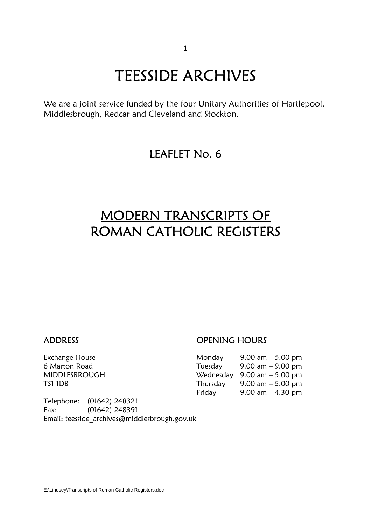# **TEESSIDE ARCHIVES**<br>We are a joint service funded by the four Unitary Authorities of Hartlepool,

Middlesbrough, Redcar and Cleveland and Stockton.

### LEAFLET No. 6

## MODERN TRANSCRIPTS OF ROMAN CATHOLIC REGISTERS

ADDRESS OPENING HOURS

| Monday   | 9.00 am $-$ 5.00 pm                           |
|----------|-----------------------------------------------|
| Tuesday  | $9.00 \text{ am} - 9.00 \text{ pm}$           |
|          | Wednesday $9.00 \text{ am} - 5.00 \text{ pm}$ |
| Thursdav | $9.00 \text{ am} - 5.00 \text{ pm}$           |
| Friday   | $9.00$ am $-4.30$ pm                          |
|          |                                               |

Telephone: (01642) 248321 Fax: (01642) 248391 Email: teesside\_archives@middlesbrough.gov.uk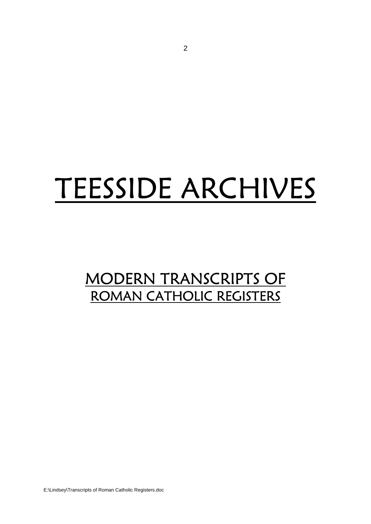## TEESSIDE ARCHIVES

## MODERN TRANSCRIPTS OF ROMAN CATHOLIC REGISTERS

E:\Lindsey\Transcripts of Roman Catholic Registers.doc